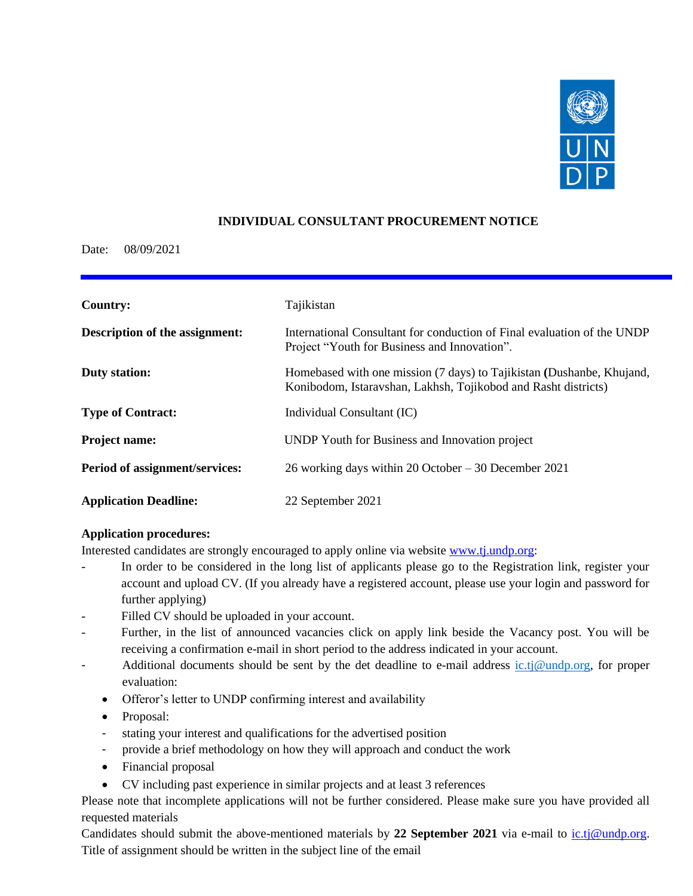

## **INDIVIDUAL CONSULTANT PROCUREMENT NOTICE**

### Date: 08/09/2021

| <b>Country:</b>                | Tajikistan                                                                                                                              |
|--------------------------------|-----------------------------------------------------------------------------------------------------------------------------------------|
| Description of the assignment: | International Consultant for conduction of Final evaluation of the UNDP<br>Project "Youth for Business and Innovation".                 |
| <b>Duty station:</b>           | Homebased with one mission (7 days) to Tajikistan (Dushanbe, Khujand,<br>Konibodom, Istaravshan, Lakhsh, Tojikobod and Rasht districts) |
| <b>Type of Contract:</b>       | Individual Consultant (IC)                                                                                                              |
| <b>Project name:</b>           | UNDP Youth for Business and Innovation project                                                                                          |
| Period of assignment/services: | 26 working days within 20 October $-30$ December 2021                                                                                   |
| <b>Application Deadline:</b>   | 22 September 2021                                                                                                                       |

## **Application procedures:**

Interested candidates are strongly encouraged to apply online via website www.tj.undp.org:

- In order to be considered in the long list of applicants please go to the Registration link, register your account and upload CV. (If you already have a registered account, please use your login and password for further applying)
- Filled CV should be uploaded in your account.
- Further, in the list of announced vacancies click on apply link beside the Vacancy post. You will be receiving a confirmation e-mail in short period to the address indicated in your account.
- Additional documents should be sent by the det deadline to e-mail address [ic.tj@undp.org,](mailto:ic.tj@undp.org) for proper evaluation:
	- Offeror's letter to UNDP confirming interest and availability
	- Proposal:
	- stating your interest and qualifications for the advertised position
	- provide a brief methodology on how they will approach and conduct the work
	- Financial proposal
	- CV including past experience in similar projects and at least 3 references

Please note that incomplete applications will not be further considered. Please make sure you have provided all requested materials

Candidates should submit the above-mentioned materials by **22 September 2021** via e-mail to [ic.tj@undp.org.](mailto:ic.tj@undp.org) Title of assignment should be written in the subject line of the email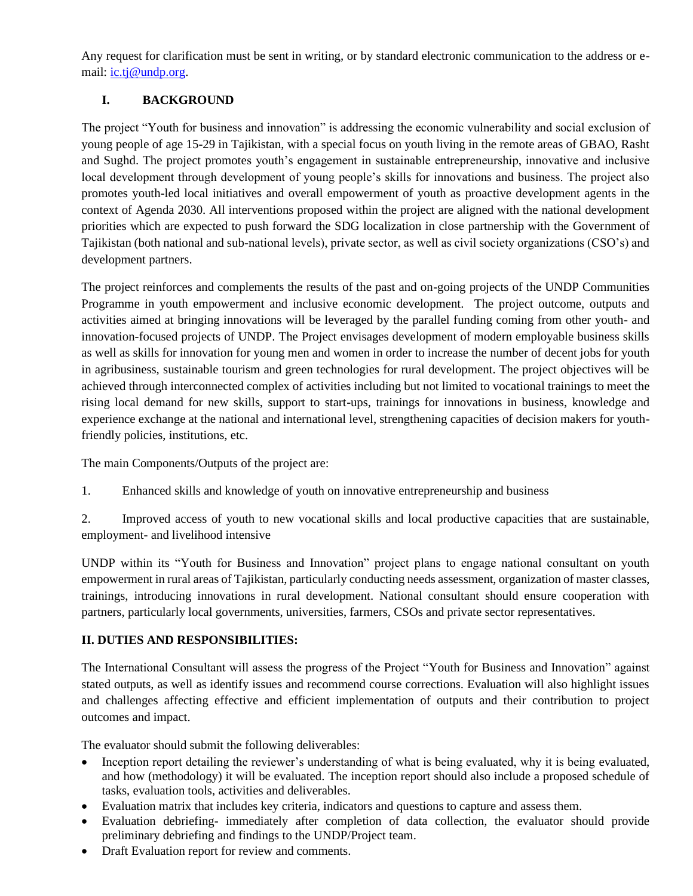Any request for clarification must be sent in writing, or by standard electronic communication to the address or email: [ic.tj@undp.org.](mailto:ic.tj@undp.org)

## **I. BACKGROUND**

The project "Youth for business and innovation" is addressing the economic vulnerability and social exclusion of young people of age 15-29 in Tajikistan, with a special focus on youth living in the remote areas of GBAO, Rasht and Sughd. The project promotes youth's engagement in sustainable entrepreneurship, innovative and inclusive local development through development of young people's skills for innovations and business. The project also promotes youth-led local initiatives and overall empowerment of youth as proactive development agents in the context of Agenda 2030. All interventions proposed within the project are aligned with the national development priorities which are expected to push forward the SDG localization in close partnership with the Government of Tajikistan (both national and sub-national levels), private sector, as well as civil society organizations (CSO's) and development partners.

The project reinforces and complements the results of the past and on-going projects of the UNDP Communities Programme in youth empowerment and inclusive economic development. The project outcome, outputs and activities aimed at bringing innovations will be leveraged by the parallel funding coming from other youth- and innovation-focused projects of UNDP. The Project envisages development of modern employable business skills as well as skills for innovation for young men and women in order to increase the number of decent jobs for youth in agribusiness, sustainable tourism and green technologies for rural development. The project objectives will be achieved through interconnected complex of activities including but not limited to vocational trainings to meet the rising local demand for new skills, support to start-ups, trainings for innovations in business, knowledge and experience exchange at the national and international level, strengthening capacities of decision makers for youthfriendly policies, institutions, etc.

The main Components/Outputs of the project are:

1. Enhanced skills and knowledge of youth on innovative entrepreneurship and business

2. Improved access of youth to new vocational skills and local productive capacities that are sustainable, employment- and livelihood intensive

UNDP within its "Youth for Business and Innovation" project plans to engage national consultant on youth empowerment in rural areas of Tajikistan, particularly conducting needs assessment, organization of master classes, trainings, introducing innovations in rural development. National consultant should ensure cooperation with partners, particularly local governments, universities, farmers, CSOs and private sector representatives.

## **II. DUTIES AND RESPONSIBILITIES:**

The International Consultant will assess the progress of the Project "Youth for Business and Innovation" against stated outputs, as well as identify issues and recommend course corrections. Evaluation will also highlight issues and challenges affecting effective and efficient implementation of outputs and their contribution to project outcomes and impact.

The evaluator should submit the following deliverables:

- Inception report detailing the reviewer's understanding of what is being evaluated, why it is being evaluated, and how (methodology) it will be evaluated. The inception report should also include a proposed schedule of tasks, evaluation tools, activities and deliverables.
- Evaluation matrix that includes key criteria, indicators and questions to capture and assess them.
- Evaluation debriefing- immediately after completion of data collection, the evaluator should provide preliminary debriefing and findings to the UNDP/Project team.
- Draft Evaluation report for review and comments.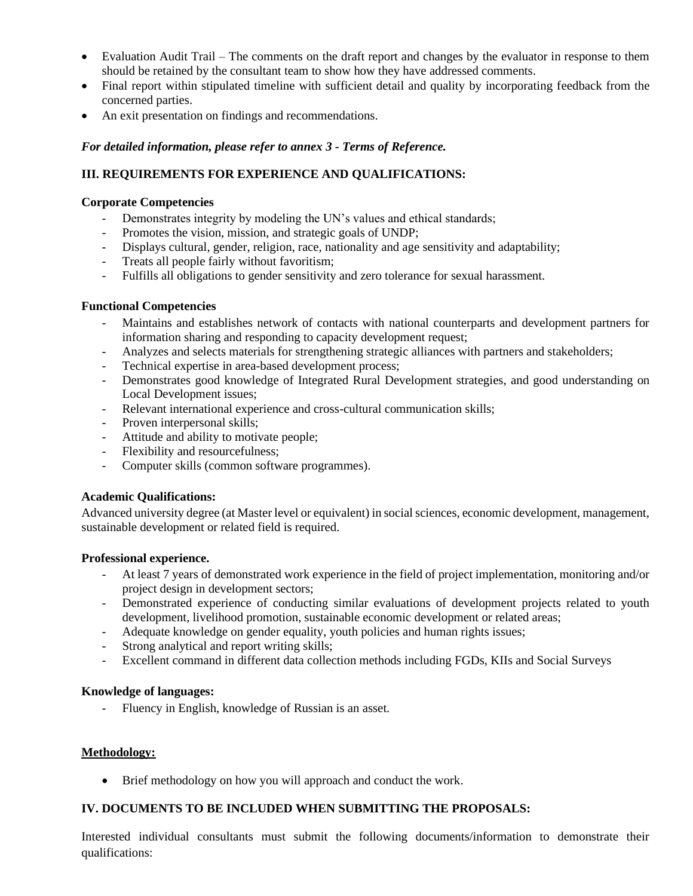- Evaluation Audit Trail The comments on the draft report and changes by the evaluator in response to them should be retained by the consultant team to show how they have addressed comments.
- Final report within stipulated timeline with sufficient detail and quality by incorporating feedback from the concerned parties.
- An exit presentation on findings and recommendations.

### *For detailed information, please refer to annex 3 - Terms of Reference.*

## **III. REQUIREMENTS FOR EXPERIENCE AND QUALIFICATIONS:**

#### **Corporate Competencies**

- Demonstrates integrity by modeling the UN's values and ethical standards;
- Promotes the vision, mission, and strategic goals of UNDP;
- Displays cultural, gender, religion, race, nationality and age sensitivity and adaptability;
- Treats all people fairly without favoritism;
- Fulfills all obligations to gender sensitivity and zero tolerance for sexual harassment.

#### **Functional Competencies**

- Maintains and establishes network of contacts with national counterparts and development partners for information sharing and responding to capacity development request;
- Analyzes and selects materials for strengthening strategic alliances with partners and stakeholders;
- Technical expertise in area-based development process;
- Demonstrates good knowledge of Integrated Rural Development strategies, and good understanding on Local Development issues;
- Relevant international experience and cross-cultural communication skills;
- Proven interpersonal skills;
- Attitude and ability to motivate people;
- Flexibility and resourcefulness;
- Computer skills (common software programmes).

#### **Academic Qualifications:**

Advanced university degree (at Master level or equivalent) in social sciences, economic development, management, sustainable development or related field is required.

#### **Professional experience.**

- At least 7 years of demonstrated work experience in the field of project implementation, monitoring and/or project design in development sectors;
- Demonstrated experience of conducting similar evaluations of development projects related to youth development, livelihood promotion, sustainable economic development or related areas;
- Adequate knowledge on gender equality, youth policies and human rights issues;
- Strong analytical and report writing skills;
- Excellent command in different data collection methods including FGDs, KIIs and Social Surveys

#### **Knowledge of languages:**

- Fluency in English, knowledge of Russian is an asset.

#### **Methodology:**

• Brief methodology on how you will approach and conduct the work.

## **IV. DOCUMENTS TO BE INCLUDED WHEN SUBMITTING THE PROPOSALS:**

Interested individual consultants must submit the following documents/information to demonstrate their qualifications: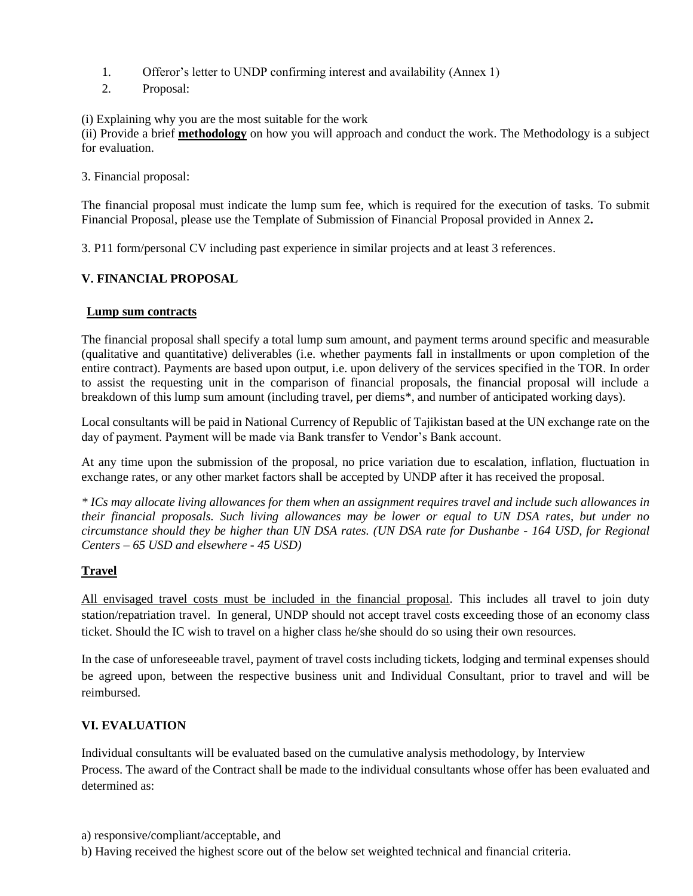- 1. Offeror's letter to UNDP confirming interest and availability (Annex 1)
- 2. Proposal:

(i) Explaining why you are the most suitable for the work

(ii) Provide a brief **methodology** on how you will approach and conduct the work. The Methodology is a subject for evaluation.

3. Financial proposal:

The financial proposal must indicate the lump sum fee, which is required for the execution of tasks. To submit Financial Proposal, please use the Template of Submission of Financial Proposal provided in Annex 2**.**

3. P11 form/personal CV including past experience in similar projects and at least 3 references.

## **V. FINANCIAL PROPOSAL**

### **Lump sum contracts**

The financial proposal shall specify a total lump sum amount, and payment terms around specific and measurable (qualitative and quantitative) deliverables (i.e. whether payments fall in installments or upon completion of the entire contract). Payments are based upon output, i.e. upon delivery of the services specified in the TOR. In order to assist the requesting unit in the comparison of financial proposals, the financial proposal will include a breakdown of this lump sum amount (including travel, per diems\*, and number of anticipated working days).

Local consultants will be paid in National Currency of Republic of Tajikistan based at the UN exchange rate on the day of payment. Payment will be made via Bank transfer to Vendor's Bank account.

At any time upon the submission of the proposal, no price variation due to escalation, inflation, fluctuation in exchange rates, or any other market factors shall be accepted by UNDP after it has received the proposal.

*\* ICs may allocate living allowances for them when an assignment requires travel and include such allowances in their financial proposals. Such living allowances may be lower or equal to UN DSA rates, but under no circumstance should they be higher than UN DSA rates. (UN DSA rate for Dushanbe - 164 USD, for Regional Centers – 65 USD and elsewhere - 45 USD)*

## **Travel**

All envisaged travel costs must be included in the financial proposal. This includes all travel to join duty station/repatriation travel. In general, UNDP should not accept travel costs exceeding those of an economy class ticket. Should the IC wish to travel on a higher class he/she should do so using their own resources.

In the case of unforeseeable travel, payment of travel costs including tickets, lodging and terminal expenses should be agreed upon, between the respective business unit and Individual Consultant, prior to travel and will be reimbursed.

## **VI. EVALUATION**

Individual consultants will be evaluated based on the cumulative analysis methodology, by Interview Process. The award of the Contract shall be made to the individual consultants whose offer has been evaluated and determined as:

- a) responsive/compliant/acceptable, and
- b) Having received the highest score out of the below set weighted technical and financial criteria.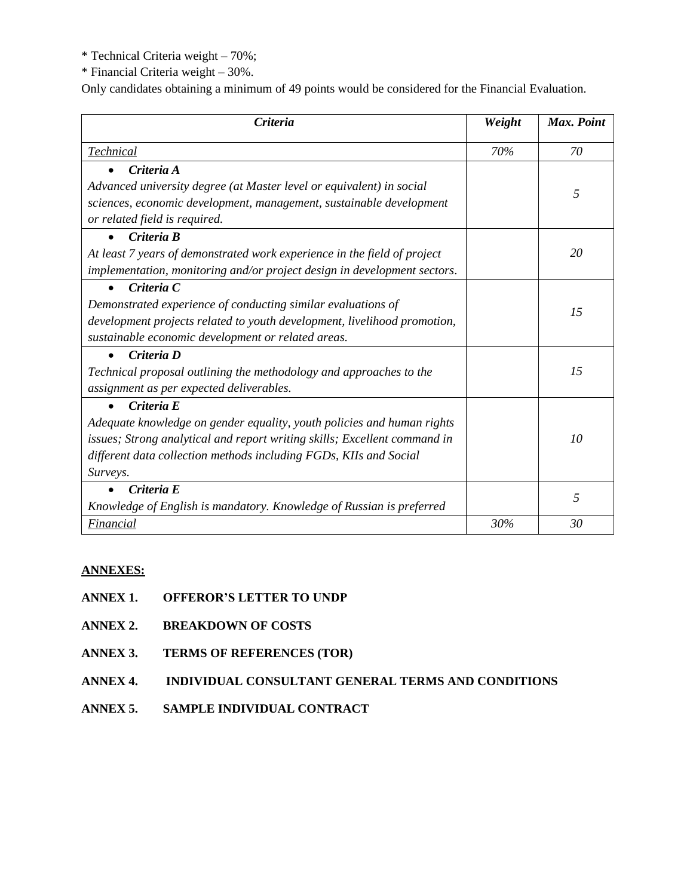\* Technical Criteria weight – 70%;

\* Financial Criteria weight – 30%.

Only candidates obtaining a minimum of 49 points would be considered for the Financial Evaluation.

| Criteria                                                                  | Weight | Max. Point |
|---------------------------------------------------------------------------|--------|------------|
| Technical                                                                 | 70%    | 70         |
| Criteria A                                                                |        |            |
| Advanced university degree (at Master level or equivalent) in social      |        | 5          |
| sciences, economic development, management, sustainable development       |        |            |
| or related field is required.                                             |        |            |
| Criteria B<br>$\bullet$                                                   |        |            |
| At least 7 years of demonstrated work experience in the field of project  |        | 20         |
| implementation, monitoring and/or project design in development sectors.  |        |            |
| Criteria C                                                                |        |            |
| Demonstrated experience of conducting similar evaluations of              |        | 15         |
| development projects related to youth development, livelihood promotion,  |        |            |
| sustainable economic development or related areas.                        |        |            |
| Criteria D                                                                |        |            |
| Technical proposal outlining the methodology and approaches to the        |        | 15         |
| assignment as per expected deliverables.                                  |        |            |
| Criteria E                                                                |        |            |
| Adequate knowledge on gender equality, youth policies and human rights    |        |            |
| issues; Strong analytical and report writing skills; Excellent command in |        | 10         |
| different data collection methods including FGDs, KIIs and Social         |        |            |
| Surveys.                                                                  |        |            |
| Criteria E                                                                |        | 5          |
| Knowledge of English is mandatory. Knowledge of Russian is preferred      |        |            |
| Financial                                                                 | 30%    | 30         |

## **ANNEXES:**

- **ANNEX 1. OFFEROR'S LETTER TO UNDP**
- **ANNEX 2. BREAKDOWN OF COSTS**
- **ANNEX 3. TERMS OF REFERENCES (TOR)**
- **ANNEX 4. INDIVIDUAL CONSULTANT GENERAL TERMS AND CONDITIONS**
- **ANNEX 5. SAMPLE INDIVIDUAL CONTRACT**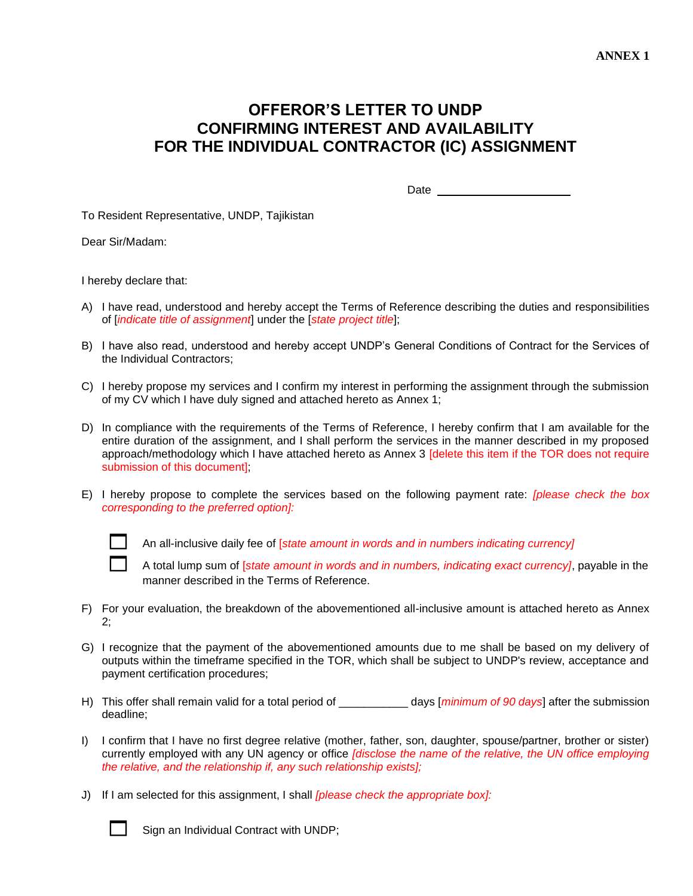# **OFFEROR'S LETTER TO UNDP CONFIRMING INTEREST AND AVAILABILITY FOR THE INDIVIDUAL CONTRACTOR (IC) ASSIGNMENT**

Date

To Resident Representative, UNDP, Tajikistan

Dear Sir/Madam:

I hereby declare that:

- A) I have read, understood and hereby accept the Terms of Reference describing the duties and responsibilities of [*indicate title of assignment*] under the [*state project title*];
- B) I have also read, understood and hereby accept UNDP's General Conditions of Contract for the Services of the Individual Contractors;
- C) I hereby propose my services and I confirm my interest in performing the assignment through the submission of my CV which I have duly signed and attached hereto as Annex 1;
- D) In compliance with the requirements of the Terms of Reference, I hereby confirm that I am available for the entire duration of the assignment, and I shall perform the services in the manner described in my proposed approach/methodology which I have attached hereto as Annex 3 [delete this item if the TOR does not require submission of this document];
- E) I hereby propose to complete the services based on the following payment rate: *[please check the box corresponding to the preferred option]:*



An all-inclusive daily fee of [*state amount in words and in numbers indicating currency]*

 A total lump sum of [*state amount in words and in numbers, indicating exact currency]*, payable in the manner described in the Terms of Reference.

- F) For your evaluation, the breakdown of the abovementioned all-inclusive amount is attached hereto as Annex 2;
- G) I recognize that the payment of the abovementioned amounts due to me shall be based on my delivery of outputs within the timeframe specified in the TOR, which shall be subject to UNDP's review, acceptance and payment certification procedures;
- H) This offer shall remain valid for a total period of \_\_\_\_\_\_\_\_\_\_\_ days [*minimum of 90 days*] after the submission deadline;
- I) I confirm that I have no first degree relative (mother, father, son, daughter, spouse/partner, brother or sister) currently employed with any UN agency or office *[disclose the name of the relative, the UN office employing the relative, and the relationship if, any such relationship exists];*
- J) If I am selected for this assignment, I shall *[please check the appropriate box]:*



Sign an Individual Contract with UNDP;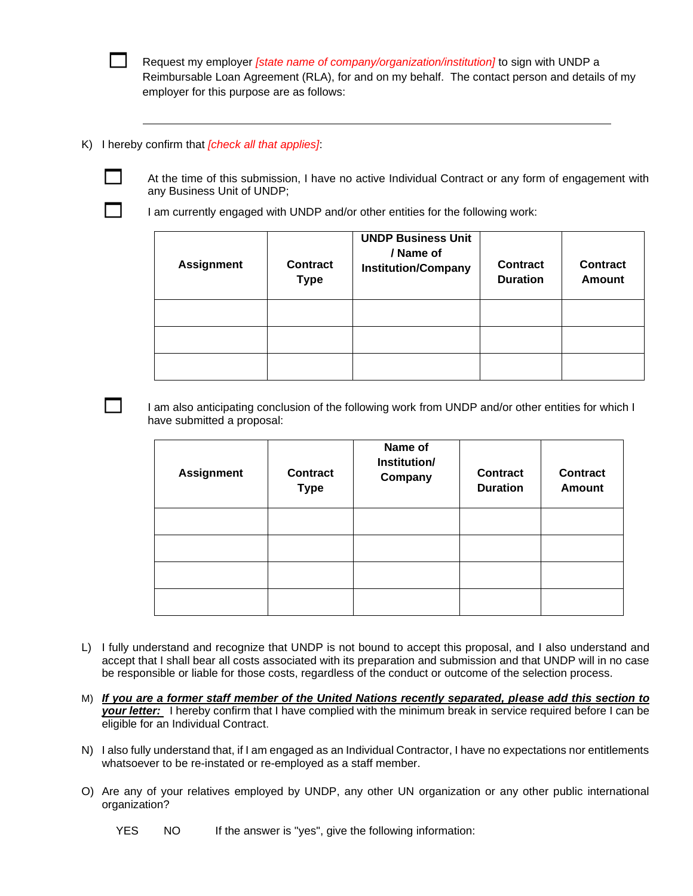Request my employer *[state name of company/organization/institution]* to sign with UNDP a Reimbursable Loan Agreement (RLA), for and on my behalf. The contact person and details of my employer for this purpose are as follows:

K) I hereby confirm that *[check all that applies]*:

 At the time of this submission, I have no active Individual Contract or any form of engagement with any Business Unit of UNDP;

I am currently engaged with UNDP and/or other entities for the following work:

| <b>Assignment</b> | <b>Contract</b><br><b>Type</b> | <b>UNDP Business Unit</b><br>/ Name of<br><b>Institution/Company</b> | <b>Contract</b><br><b>Duration</b> | <b>Contract</b><br>Amount |
|-------------------|--------------------------------|----------------------------------------------------------------------|------------------------------------|---------------------------|
|                   |                                |                                                                      |                                    |                           |
|                   |                                |                                                                      |                                    |                           |
|                   |                                |                                                                      |                                    |                           |

 I am also anticipating conclusion of the following work from UNDP and/or other entities for which I have submitted a proposal:

| <b>Assignment</b> | <b>Contract</b><br><b>Type</b> | Name of<br>Institution/<br>Company | <b>Contract</b><br><b>Duration</b> | <b>Contract</b><br><b>Amount</b> |
|-------------------|--------------------------------|------------------------------------|------------------------------------|----------------------------------|
|                   |                                |                                    |                                    |                                  |
|                   |                                |                                    |                                    |                                  |
|                   |                                |                                    |                                    |                                  |
|                   |                                |                                    |                                    |                                  |

- L) I fully understand and recognize that UNDP is not bound to accept this proposal, and I also understand and accept that I shall bear all costs associated with its preparation and submission and that UNDP will in no case be responsible or liable for those costs, regardless of the conduct or outcome of the selection process.
- M) *If you are a former staff member of the United Nations recently separated, please add this section to your letter:* I hereby confirm that I have complied with the minimum break in service required before I can be eligible for an Individual Contract.
- N) I also fully understand that, if I am engaged as an Individual Contractor, I have no expectations nor entitlements whatsoever to be re-instated or re-employed as a staff member.
- O) Are any of your relatives employed by UNDP, any other UN organization or any other public international organization?

YES NO If the answer is "yes", give the following information: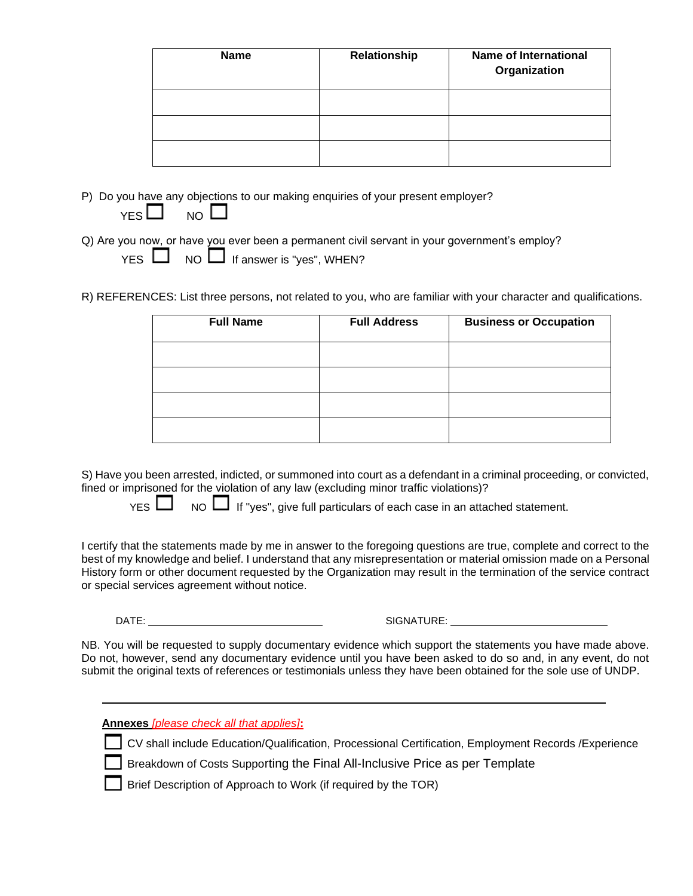| <b>Name</b> | Relationship | <b>Name of International</b><br>Organization |
|-------------|--------------|----------------------------------------------|
|             |              |                                              |
|             |              |                                              |
|             |              |                                              |

P) Do you have any objections to our making enquiries of your present employer?

Q) Are you now, or have you ever been a permanent civil servant in your government's employ?

|  |  |  | YES $\Box$ NO $\Box$ If answer is "yes", WHEN? |  |
|--|--|--|------------------------------------------------|--|
|--|--|--|------------------------------------------------|--|

R) REFERENCES: List three persons, not related to you, who are familiar with your character and qualifications.

| <b>Full Name</b> | <b>Full Address</b> | <b>Business or Occupation</b> |
|------------------|---------------------|-------------------------------|
|                  |                     |                               |
|                  |                     |                               |
|                  |                     |                               |
|                  |                     |                               |

S) Have you been arrested, indicted, or summoned into court as a defendant in a criminal proceeding, or convicted, fined or imprisoned for the violation of any law (excluding minor traffic violations)?

 $YES$   $\Box$  NO  $\Box$  If "yes", give full particulars of each case in an attached statement.

I certify that the statements made by me in answer to the foregoing questions are true, complete and correct to the best of my knowledge and belief. I understand that any misrepresentation or material omission made on a Personal History form or other document requested by the Organization may result in the termination of the service contract or special services agreement without notice.

DATE: SIGNATURE:

NB. You will be requested to supply documentary evidence which support the statements you have made above. Do not, however, send any documentary evidence until you have been asked to do so and, in any event, do not submit the original texts of references or testimonials unless they have been obtained for the sole use of UNDP.

**Annexes** *[please check all that applies]***:**

CV shall include Education/Qualification, Processional Certification, Employment Records /Experience

Breakdown of Costs Supporting the Final All-Inclusive Price as per Template

Brief Description of Approach to Work (if required by the TOR)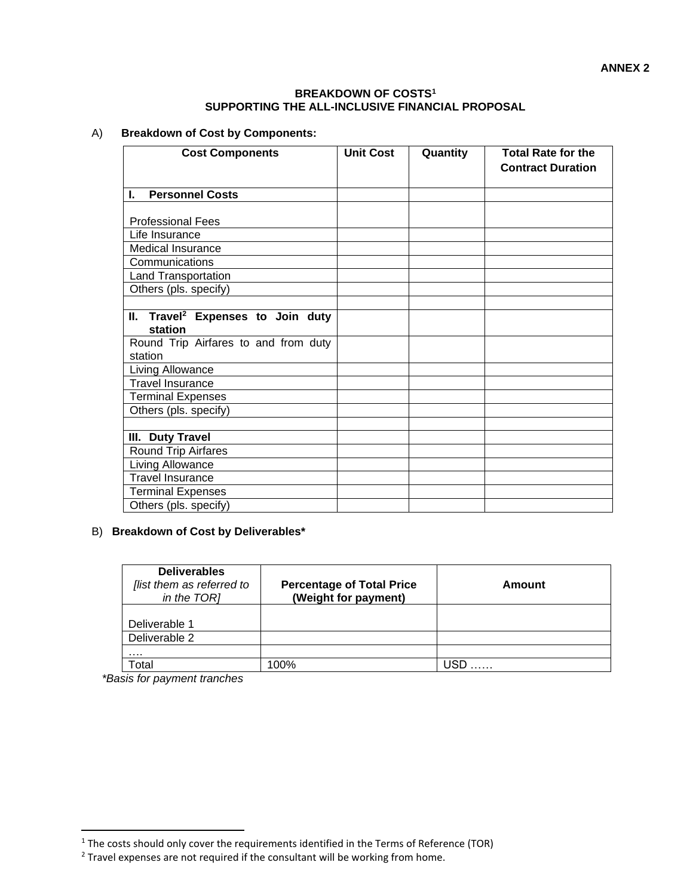#### **BREAKDOWN OF COSTS<sup>1</sup> SUPPORTING THE ALL-INCLUSIVE FINANCIAL PROPOSAL**

## A) **Breakdown of Cost by Components:**

| <b>Cost Components</b>                        | <b>Unit Cost</b> | Quantity | <b>Total Rate for the</b> |
|-----------------------------------------------|------------------|----------|---------------------------|
|                                               |                  |          | <b>Contract Duration</b>  |
|                                               |                  |          |                           |
| <b>Personnel Costs</b><br>L.                  |                  |          |                           |
|                                               |                  |          |                           |
| <b>Professional Fees</b>                      |                  |          |                           |
| Life Insurance                                |                  |          |                           |
| <b>Medical Insurance</b>                      |                  |          |                           |
| Communications                                |                  |          |                           |
| <b>Land Transportation</b>                    |                  |          |                           |
| Others (pls. specify)                         |                  |          |                           |
|                                               |                  |          |                           |
| II. Travel <sup>2</sup> Expenses to Join duty |                  |          |                           |
| station                                       |                  |          |                           |
| Round Trip Airfares to and from duty          |                  |          |                           |
| station                                       |                  |          |                           |
| Living Allowance                              |                  |          |                           |
| <b>Travel Insurance</b>                       |                  |          |                           |
| <b>Terminal Expenses</b>                      |                  |          |                           |
| Others (pls. specify)                         |                  |          |                           |
|                                               |                  |          |                           |
| III. Duty Travel                              |                  |          |                           |
| <b>Round Trip Airfares</b>                    |                  |          |                           |
| Living Allowance                              |                  |          |                           |
| <b>Travel Insurance</b>                       |                  |          |                           |
| <b>Terminal Expenses</b>                      |                  |          |                           |
| Others (pls. specify)                         |                  |          |                           |

## B) **Breakdown of Cost by Deliverables\***

| <b>Deliverables</b><br>flist them as referred to<br>in the TOR] | <b>Percentage of Total Price</b><br>(Weight for payment) | Amount |
|-----------------------------------------------------------------|----------------------------------------------------------|--------|
| Deliverable 1                                                   |                                                          |        |
| Deliverable 2                                                   |                                                          |        |
| .                                                               |                                                          |        |
| <sup>-</sup> otal                                               | 100%                                                     |        |

*\*Basis for payment tranches*

<sup>&</sup>lt;sup>1</sup> The costs should only cover the requirements identified in the Terms of Reference (TOR)

<sup>&</sup>lt;sup>2</sup> Travel expenses are not required if the consultant will be working from home.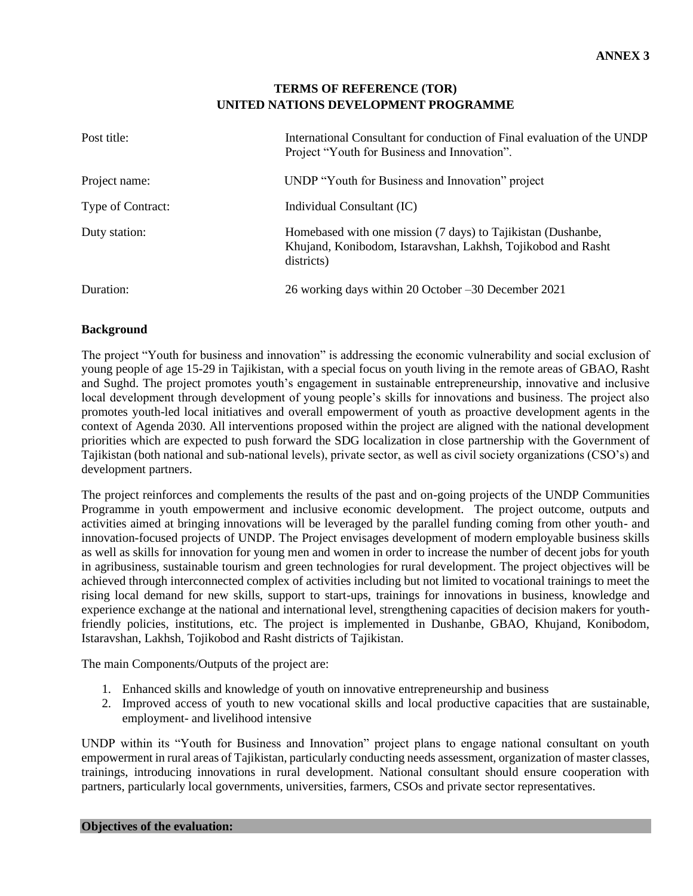## **TERMS OF REFERENCE (TOR) UNITED NATIONS DEVELOPMENT PROGRAMME**

| Post title:       | International Consultant for conduction of Final evaluation of the UNDP<br>Project "Youth for Business and Innovation".                    |
|-------------------|--------------------------------------------------------------------------------------------------------------------------------------------|
| Project name:     | UNDP "Youth for Business and Innovation" project                                                                                           |
| Type of Contract: | Individual Consultant (IC)                                                                                                                 |
| Duty station:     | Homebased with one mission (7 days) to Tajikistan (Dushanbe,<br>Khujand, Konibodom, Istaravshan, Lakhsh, Tojikobod and Rasht<br>districts) |
| Duration:         | 26 working days within 20 October –30 December 2021                                                                                        |

## **Background**

The project "Youth for business and innovation" is addressing the economic vulnerability and social exclusion of young people of age 15-29 in Tajikistan, with a special focus on youth living in the remote areas of GBAO, Rasht and Sughd. The project promotes youth's engagement in sustainable entrepreneurship, innovative and inclusive local development through development of young people's skills for innovations and business. The project also promotes youth-led local initiatives and overall empowerment of youth as proactive development agents in the context of Agenda 2030. All interventions proposed within the project are aligned with the national development priorities which are expected to push forward the SDG localization in close partnership with the Government of Tajikistan (both national and sub-national levels), private sector, as well as civil society organizations (CSO's) and development partners.

The project reinforces and complements the results of the past and on-going projects of the UNDP Communities Programme in youth empowerment and inclusive economic development. The project outcome, outputs and activities aimed at bringing innovations will be leveraged by the parallel funding coming from other youth- and innovation-focused projects of UNDP. The Project envisages development of modern employable business skills as well as skills for innovation for young men and women in order to increase the number of decent jobs for youth in agribusiness, sustainable tourism and green technologies for rural development. The project objectives will be achieved through interconnected complex of activities including but not limited to vocational trainings to meet the rising local demand for new skills, support to start-ups, trainings for innovations in business, knowledge and experience exchange at the national and international level, strengthening capacities of decision makers for youthfriendly policies, institutions, etc. The project is implemented in Dushanbe, GBAO, Khujand, Konibodom, Istaravshan, Lakhsh, Tojikobod and Rasht districts of Tajikistan.

The main Components/Outputs of the project are:

- 1. Enhanced skills and knowledge of youth on innovative entrepreneurship and business
- 2. Improved access of youth to new vocational skills and local productive capacities that are sustainable, employment- and livelihood intensive

UNDP within its "Youth for Business and Innovation" project plans to engage national consultant on youth empowerment in rural areas of Tajikistan, particularly conducting needs assessment, organization of master classes, trainings, introducing innovations in rural development. National consultant should ensure cooperation with partners, particularly local governments, universities, farmers, CSOs and private sector representatives.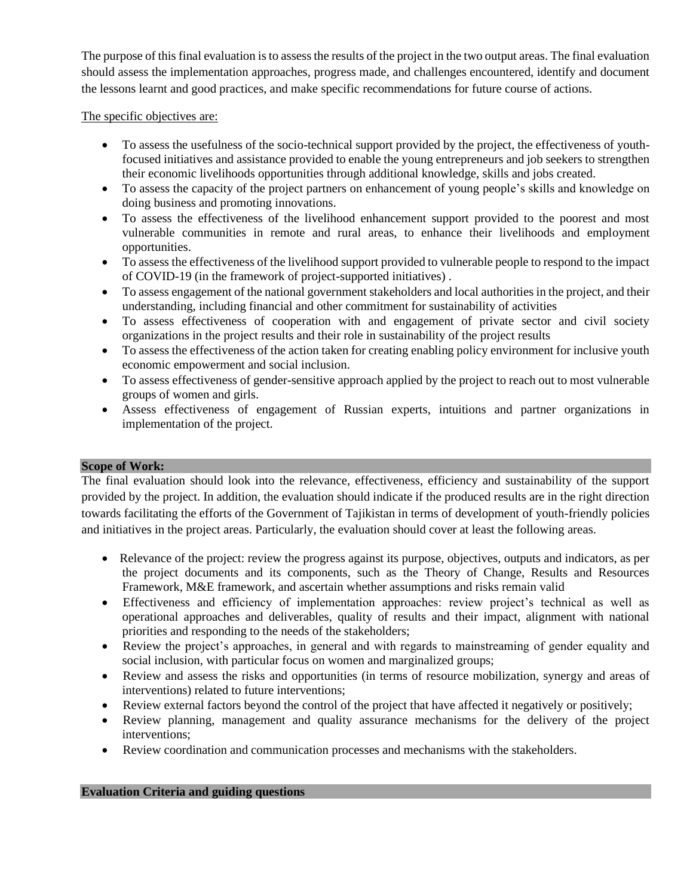The purpose of this final evaluation is to assess the results of the project in the two output areas. The final evaluation should assess the implementation approaches, progress made, and challenges encountered, identify and document the lessons learnt and good practices, and make specific recommendations for future course of actions.

The specific objectives are:

- To assess the usefulness of the socio-technical support provided by the project, the effectiveness of youthfocused initiatives and assistance provided to enable the young entrepreneurs and job seekers to strengthen their economic livelihoods opportunities through additional knowledge, skills and jobs created.
- To assess the capacity of the project partners on enhancement of young people's skills and knowledge on doing business and promoting innovations.
- To assess the effectiveness of the livelihood enhancement support provided to the poorest and most vulnerable communities in remote and rural areas, to enhance their livelihoods and employment opportunities.
- To assess the effectiveness of the livelihood support provided to vulnerable people to respond to the impact of COVID-19 (in the framework of project-supported initiatives) .
- To assess engagement of the national government stakeholders and local authorities in the project, and their understanding, including financial and other commitment for sustainability of activities
- To assess effectiveness of cooperation with and engagement of private sector and civil society organizations in the project results and their role in sustainability of the project results
- To assess the effectiveness of the action taken for creating enabling policy environment for inclusive youth economic empowerment and social inclusion.
- To assess effectiveness of gender-sensitive approach applied by the project to reach out to most vulnerable groups of women and girls.
- Assess effectiveness of engagement of Russian experts, intuitions and partner organizations in implementation of the project.

## **Scope of Work:**

The final evaluation should look into the relevance, effectiveness, efficiency and sustainability of the support provided by the project. In addition, the evaluation should indicate if the produced results are in the right direction towards facilitating the efforts of the Government of Tajikistan in terms of development of youth-friendly policies and initiatives in the project areas. Particularly, the evaluation should cover at least the following areas.

- Relevance of the project: review the progress against its purpose, objectives, outputs and indicators, as per the project documents and its components, such as the Theory of Change, Results and Resources Framework, M&E framework, and ascertain whether assumptions and risks remain valid
- Effectiveness and efficiency of implementation approaches: review project's technical as well as operational approaches and deliverables, quality of results and their impact, alignment with national priorities and responding to the needs of the stakeholders;
- Review the project's approaches, in general and with regards to mainstreaming of gender equality and social inclusion, with particular focus on women and marginalized groups;
- Review and assess the risks and opportunities (in terms of resource mobilization, synergy and areas of interventions) related to future interventions;
- Review external factors beyond the control of the project that have affected it negatively or positively;
- Review planning, management and quality assurance mechanisms for the delivery of the project interventions;
- Review coordination and communication processes and mechanisms with the stakeholders.

#### **Evaluation Criteria and guiding questions**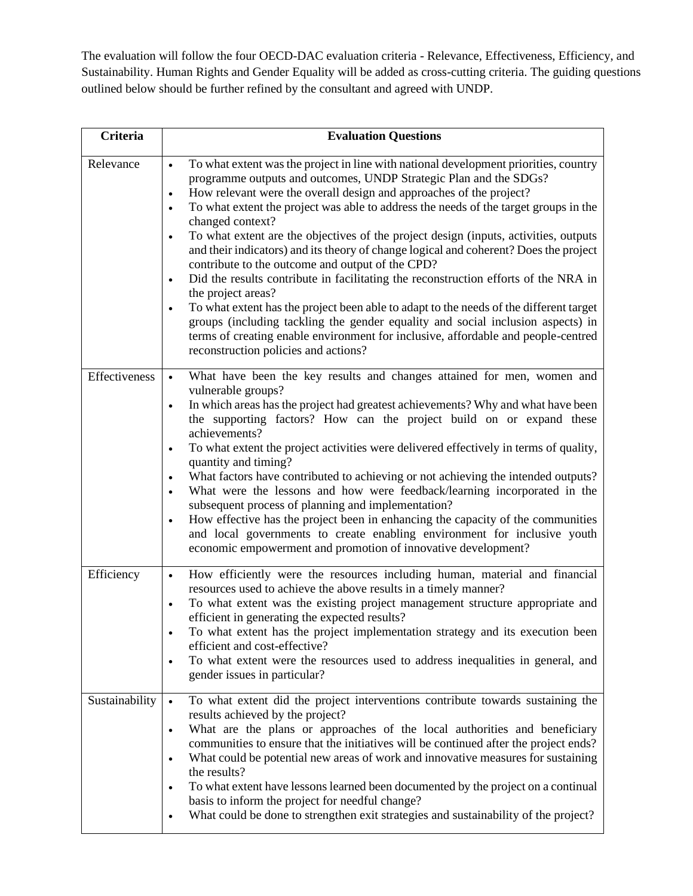The evaluation will follow the four OECD-DAC evaluation criteria - Relevance, Effectiveness, Efficiency, and Sustainability. Human Rights and Gender Equality will be added as cross-cutting criteria. The guiding questions outlined below should be further refined by the consultant and agreed with UNDP.

| <b>Criteria</b> | <b>Evaluation Questions</b>                                                                                                                                                                                                                                                                                                                                                                                                                                                                                                                                                                                                                                                                                                                                                                                                                                                                                                                                                                                                                     |
|-----------------|-------------------------------------------------------------------------------------------------------------------------------------------------------------------------------------------------------------------------------------------------------------------------------------------------------------------------------------------------------------------------------------------------------------------------------------------------------------------------------------------------------------------------------------------------------------------------------------------------------------------------------------------------------------------------------------------------------------------------------------------------------------------------------------------------------------------------------------------------------------------------------------------------------------------------------------------------------------------------------------------------------------------------------------------------|
| Relevance       | To what extent was the project in line with national development priorities, country<br>programme outputs and outcomes, UNDP Strategic Plan and the SDGs?<br>How relevant were the overall design and approaches of the project?<br>$\bullet$<br>To what extent the project was able to address the needs of the target groups in the<br>$\bullet$<br>changed context?<br>To what extent are the objectives of the project design (inputs, activities, outputs<br>$\bullet$<br>and their indicators) and its theory of change logical and coherent? Does the project<br>contribute to the outcome and output of the CPD?<br>Did the results contribute in facilitating the reconstruction efforts of the NRA in<br>the project areas?<br>To what extent has the project been able to adapt to the needs of the different target<br>groups (including tackling the gender equality and social inclusion aspects) in<br>terms of creating enable environment for inclusive, affordable and people-centred<br>reconstruction policies and actions? |
| Effectiveness   | What have been the key results and changes attained for men, women and<br>vulnerable groups?<br>In which areas has the project had greatest achievements? Why and what have been<br>$\bullet$<br>the supporting factors? How can the project build on or expand these<br>achievements?<br>To what extent the project activities were delivered effectively in terms of quality,<br>quantity and timing?<br>What factors have contributed to achieving or not achieving the intended outputs?<br>What were the lessons and how were feedback/learning incorporated in the<br>subsequent process of planning and implementation?<br>How effective has the project been in enhancing the capacity of the communities<br>$\bullet$<br>and local governments to create enabling environment for inclusive youth<br>economic empowerment and promotion of innovative development?                                                                                                                                                                     |
| Efficiency      | How efficiently were the resources including human, material and financial<br>$\bullet$<br>resources used to achieve the above results in a timely manner?<br>To what extent was the existing project management structure appropriate and<br>$\bullet$<br>efficient in generating the expected results?<br>To what extent has the project implementation strategy and its execution been<br>efficient and cost-effective?<br>To what extent were the resources used to address inequalities in general, and<br>gender issues in particular?                                                                                                                                                                                                                                                                                                                                                                                                                                                                                                    |
| Sustainability  | To what extent did the project interventions contribute towards sustaining the<br>results achieved by the project?<br>What are the plans or approaches of the local authorities and beneficiary<br>$\bullet$<br>communities to ensure that the initiatives will be continued after the project ends?<br>What could be potential new areas of work and innovative measures for sustaining<br>the results?<br>To what extent have lessons learned been documented by the project on a continual<br>basis to inform the project for needful change?<br>What could be done to strengthen exit strategies and sustainability of the project?                                                                                                                                                                                                                                                                                                                                                                                                         |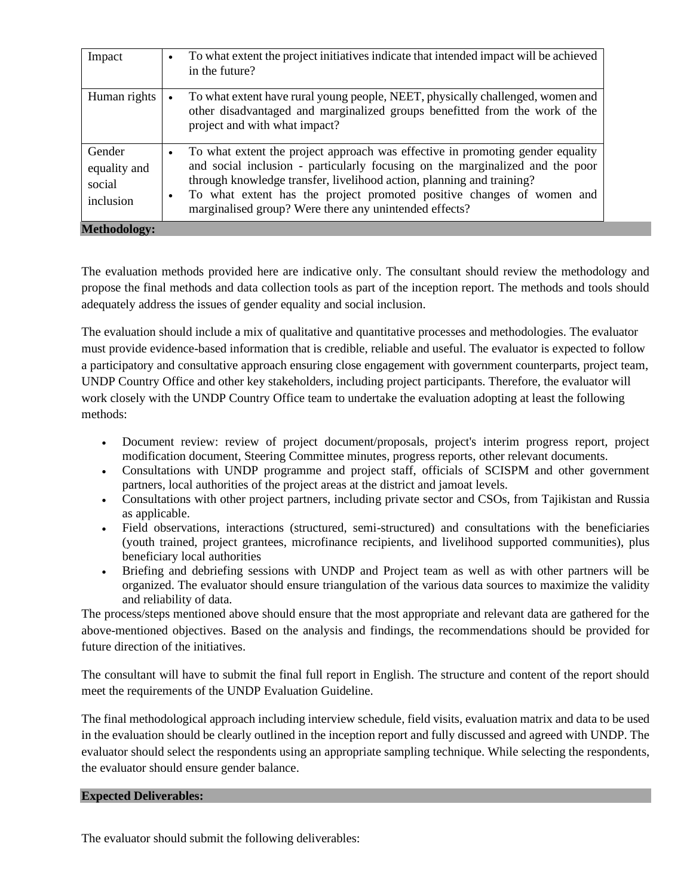| Impact                                        | $\bullet$              | To what extent the project initiatives indicate that intended impact will be achieved<br>in the future?                                                                                                                                                                                                                                                                     |
|-----------------------------------------------|------------------------|-----------------------------------------------------------------------------------------------------------------------------------------------------------------------------------------------------------------------------------------------------------------------------------------------------------------------------------------------------------------------------|
| Human rights                                  | $\bullet$              | To what extent have rural young people, NEET, physically challenged, women and<br>other disadvantaged and marginalized groups benefitted from the work of the<br>project and with what impact?                                                                                                                                                                              |
| Gender<br>equality and<br>social<br>inclusion | $\bullet$<br>$\bullet$ | To what extent the project approach was effective in promoting gender equality<br>and social inclusion - particularly focusing on the marginalized and the poor<br>through knowledge transfer, livelihood action, planning and training?<br>To what extent has the project promoted positive changes of women and<br>marginalised group? Were there any unintended effects? |
| <b>Methodology:</b>                           |                        |                                                                                                                                                                                                                                                                                                                                                                             |

The evaluation methods provided here are indicative only. The consultant should review the methodology and propose the final methods and data collection tools as part of the inception report. The methods and tools should adequately address the issues of gender equality and social inclusion.

The evaluation should include a mix of qualitative and quantitative processes and methodologies. The evaluator must provide evidence-based information that is credible, reliable and useful. The evaluator is expected to follow a participatory and consultative approach ensuring close engagement with government counterparts, project team, UNDP Country Office and other key stakeholders, including project participants. Therefore, the evaluator will work closely with the UNDP Country Office team to undertake the evaluation adopting at least the following methods:

- Document review: review of project document/proposals, project's interim progress report, project modification document, Steering Committee minutes, progress reports, other relevant documents.
- Consultations with UNDP programme and project staff, officials of SCISPM and other government partners, local authorities of the project areas at the district and jamoat levels.
- Consultations with other project partners, including private sector and CSOs, from Tajikistan and Russia as applicable.
- Field observations, interactions (structured, semi-structured) and consultations with the beneficiaries (youth trained, project grantees, microfinance recipients, and livelihood supported communities), plus beneficiary local authorities
- Briefing and debriefing sessions with UNDP and Project team as well as with other partners will be organized. The evaluator should ensure triangulation of the various data sources to maximize the validity and reliability of data.

The process/steps mentioned above should ensure that the most appropriate and relevant data are gathered for the above-mentioned objectives. Based on the analysis and findings, the recommendations should be provided for future direction of the initiatives.

The consultant will have to submit the final full report in English. The structure and content of the report should meet the requirements of the UNDP Evaluation Guideline.

The final methodological approach including interview schedule, field visits, evaluation matrix and data to be used in the evaluation should be clearly outlined in the inception report and fully discussed and agreed with UNDP. The evaluator should select the respondents using an appropriate sampling technique. While selecting the respondents, the evaluator should ensure gender balance.

#### **Expected Deliverables:**

The evaluator should submit the following deliverables: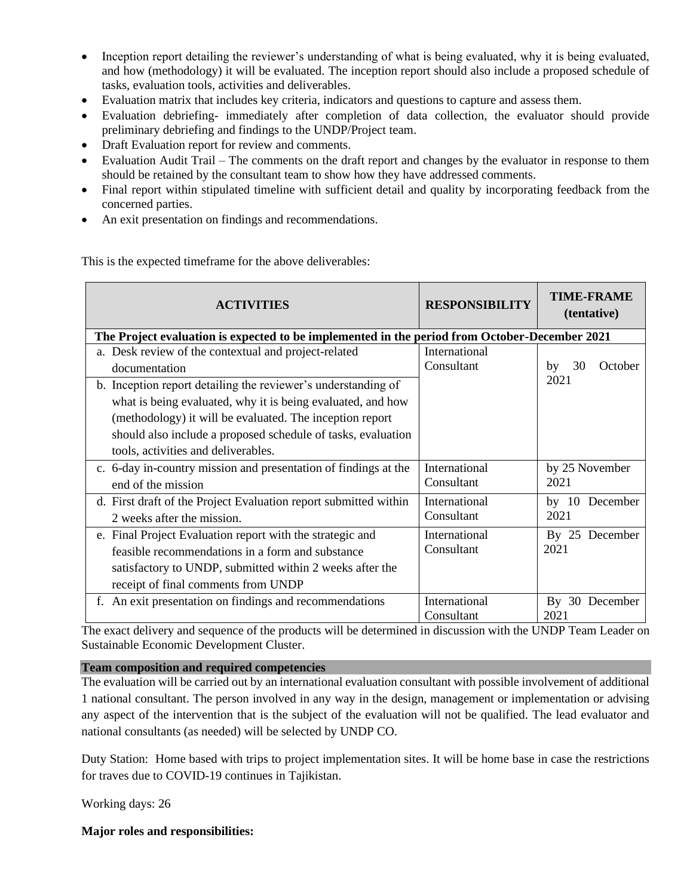- Inception report detailing the reviewer's understanding of what is being evaluated, why it is being evaluated, and how (methodology) it will be evaluated. The inception report should also include a proposed schedule of tasks, evaluation tools, activities and deliverables.
- Evaluation matrix that includes key criteria, indicators and questions to capture and assess them.
- Evaluation debriefing- immediately after completion of data collection, the evaluator should provide preliminary debriefing and findings to the UNDP/Project team.
- Draft Evaluation report for review and comments.
- Evaluation Audit Trail The comments on the draft report and changes by the evaluator in response to them should be retained by the consultant team to show how they have addressed comments.
- Final report within stipulated timeline with sufficient detail and quality by incorporating feedback from the concerned parties.
- An exit presentation on findings and recommendations.

This is the expected timeframe for the above deliverables:

| <b>ACTIVITIES</b>                                                                             | <b>RESPONSIBILITY</b> | <b>TIME-FRAME</b><br>(tentative) |  |  |  |
|-----------------------------------------------------------------------------------------------|-----------------------|----------------------------------|--|--|--|
| The Project evaluation is expected to be implemented in the period from October-December 2021 |                       |                                  |  |  |  |
| a. Desk review of the contextual and project-related                                          | International         |                                  |  |  |  |
| documentation                                                                                 | Consultant            | 30<br>October<br>by              |  |  |  |
| b. Inception report detailing the reviewer's understanding of                                 |                       | 2021                             |  |  |  |
| what is being evaluated, why it is being evaluated, and how                                   |                       |                                  |  |  |  |
| (methodology) it will be evaluated. The inception report                                      |                       |                                  |  |  |  |
| should also include a proposed schedule of tasks, evaluation                                  |                       |                                  |  |  |  |
| tools, activities and deliverables.                                                           |                       |                                  |  |  |  |
| c. 6-day in-country mission and presentation of findings at the                               | International         | by 25 November                   |  |  |  |
| end of the mission                                                                            | Consultant            | 2021                             |  |  |  |
| d. First draft of the Project Evaluation report submitted within                              | International         | by $10$<br>December              |  |  |  |
| 2 weeks after the mission.                                                                    | Consultant            | 2021                             |  |  |  |
| e. Final Project Evaluation report with the strategic and                                     | International         | By 25 December                   |  |  |  |
| feasible recommendations in a form and substance                                              | Consultant            | 2021                             |  |  |  |
| satisfactory to UNDP, submitted within 2 weeks after the                                      |                       |                                  |  |  |  |
| receipt of final comments from UNDP                                                           |                       |                                  |  |  |  |
| f. An exit presentation on findings and recommendations                                       | International         | By 30 December                   |  |  |  |
|                                                                                               | Consultant            | 2021                             |  |  |  |

The exact delivery and sequence of the products will be determined in discussion with the UNDP Team Leader on Sustainable Economic Development Cluster.

#### **Team composition and required competencies**

The evaluation will be carried out by an international evaluation consultant with possible involvement of additional 1 national consultant. The person involved in any way in the design, management or implementation or advising any aspect of the intervention that is the subject of the evaluation will not be qualified. The lead evaluator and national consultants (as needed) will be selected by UNDP CO.

Duty Station: Home based with trips to project implementation sites. It will be home base in case the restrictions for traves due to COVID-19 continues in Tajikistan.

Working days: 26

**Major roles and responsibilities:**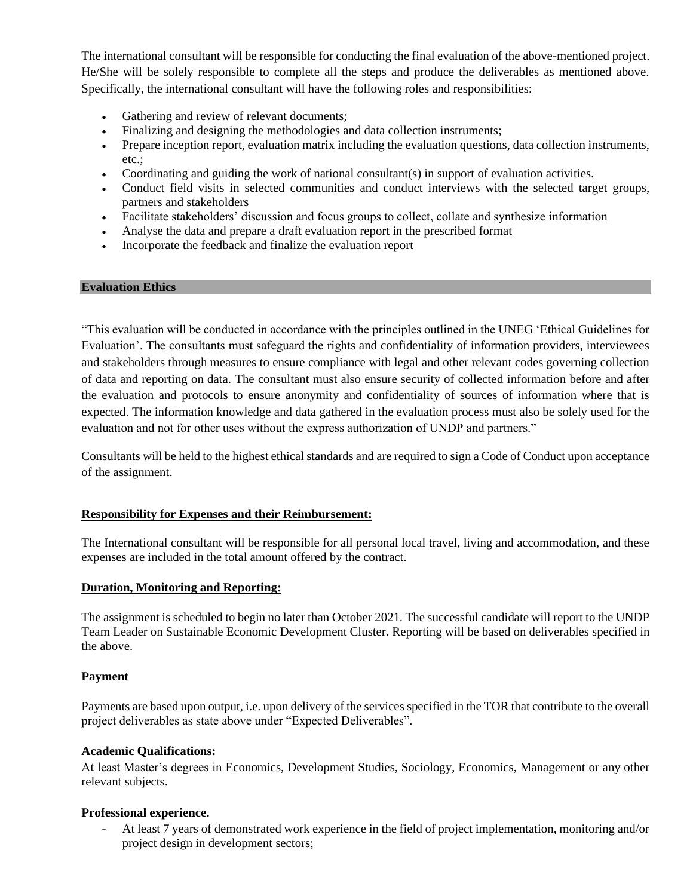The international consultant will be responsible for conducting the final evaluation of the above-mentioned project. He/She will be solely responsible to complete all the steps and produce the deliverables as mentioned above. Specifically, the international consultant will have the following roles and responsibilities:

- Gathering and review of relevant documents;
- Finalizing and designing the methodologies and data collection instruments;
- Prepare inception report, evaluation matrix including the evaluation questions, data collection instruments, etc.;
- Coordinating and guiding the work of national consultant(s) in support of evaluation activities.
- Conduct field visits in selected communities and conduct interviews with the selected target groups, partners and stakeholders
- Facilitate stakeholders' discussion and focus groups to collect, collate and synthesize information
- Analyse the data and prepare a draft evaluation report in the prescribed format
- Incorporate the feedback and finalize the evaluation report

#### **Evaluation Ethics**

"This evaluation will be conducted in accordance with the principles outlined in the UNEG 'Ethical Guidelines for Evaluation'. The consultants must safeguard the rights and confidentiality of information providers, interviewees and stakeholders through measures to ensure compliance with legal and other relevant codes governing collection of data and reporting on data. The consultant must also ensure security of collected information before and after the evaluation and protocols to ensure anonymity and confidentiality of sources of information where that is expected. The information knowledge and data gathered in the evaluation process must also be solely used for the evaluation and not for other uses without the express authorization of UNDP and partners."

Consultants will be held to the highest ethical standards and are required to sign a Code of Conduct upon acceptance of the assignment.

#### **Responsibility for Expenses and their Reimbursement:**

The International consultant will be responsible for all personal local travel, living and accommodation, and these expenses are included in the total amount offered by the contract.

#### **Duration, Monitoring and Reporting:**

The assignment is scheduled to begin no later than October 2021. The successful candidate will report to the UNDP Team Leader on Sustainable Economic Development Cluster. Reporting will be based on deliverables specified in the above.

#### **Payment**

Payments are based upon output, i.e. upon delivery of the services specified in the TOR that contribute to the overall project deliverables as state above under "Expected Deliverables".

#### **Academic Qualifications:**

At least Master's degrees in Economics, Development Studies, Sociology, Economics, Management or any other relevant subjects.

#### **Professional experience.**

- At least 7 years of demonstrated work experience in the field of project implementation, monitoring and/or project design in development sectors;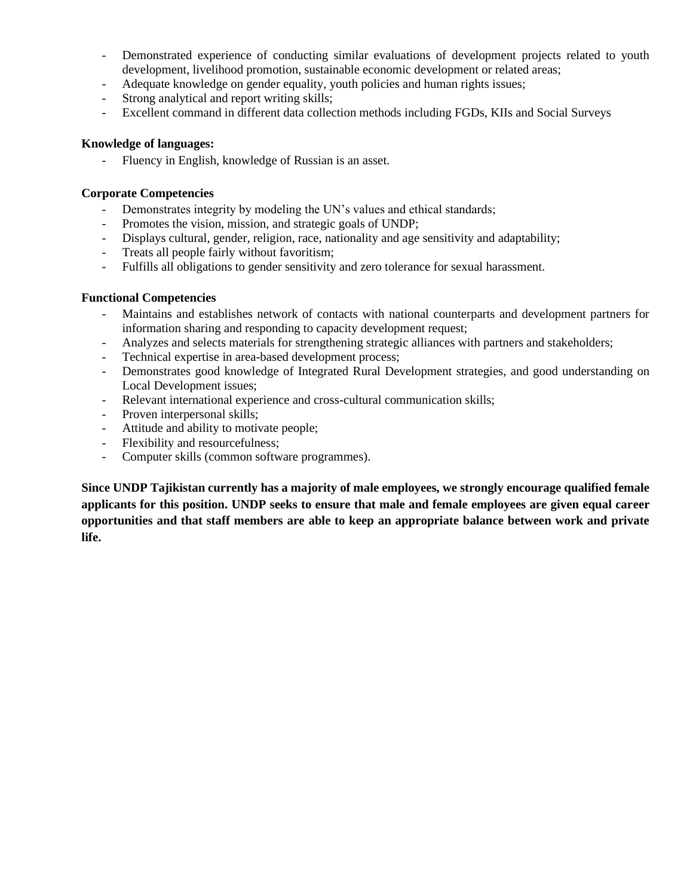- Demonstrated experience of conducting similar evaluations of development projects related to youth development, livelihood promotion, sustainable economic development or related areas;
- Adequate knowledge on gender equality, youth policies and human rights issues;
- Strong analytical and report writing skills;
- Excellent command in different data collection methods including FGDs, KIIs and Social Surveys

#### **Knowledge of languages:**

Fluency in English, knowledge of Russian is an asset.

#### **Corporate Competencies**

- Demonstrates integrity by modeling the UN's values and ethical standards;
- Promotes the vision, mission, and strategic goals of UNDP;
- Displays cultural, gender, religion, race, nationality and age sensitivity and adaptability;
- Treats all people fairly without favoritism;
- Fulfills all obligations to gender sensitivity and zero tolerance for sexual harassment.

#### **Functional Competencies**

- Maintains and establishes network of contacts with national counterparts and development partners for information sharing and responding to capacity development request;
- Analyzes and selects materials for strengthening strategic alliances with partners and stakeholders;
- Technical expertise in area-based development process;
- Demonstrates good knowledge of Integrated Rural Development strategies, and good understanding on Local Development issues;
- Relevant international experience and cross-cultural communication skills;
- Proven interpersonal skills;
- Attitude and ability to motivate people;
- Flexibility and resourcefulness;
- Computer skills (common software programmes).

**Since UNDP Tajikistan currently has a majority of male employees, we strongly encourage qualified female applicants for this position. UNDP seeks to ensure that male and female employees are given equal career opportunities and that staff members are able to keep an appropriate balance between work and private life.**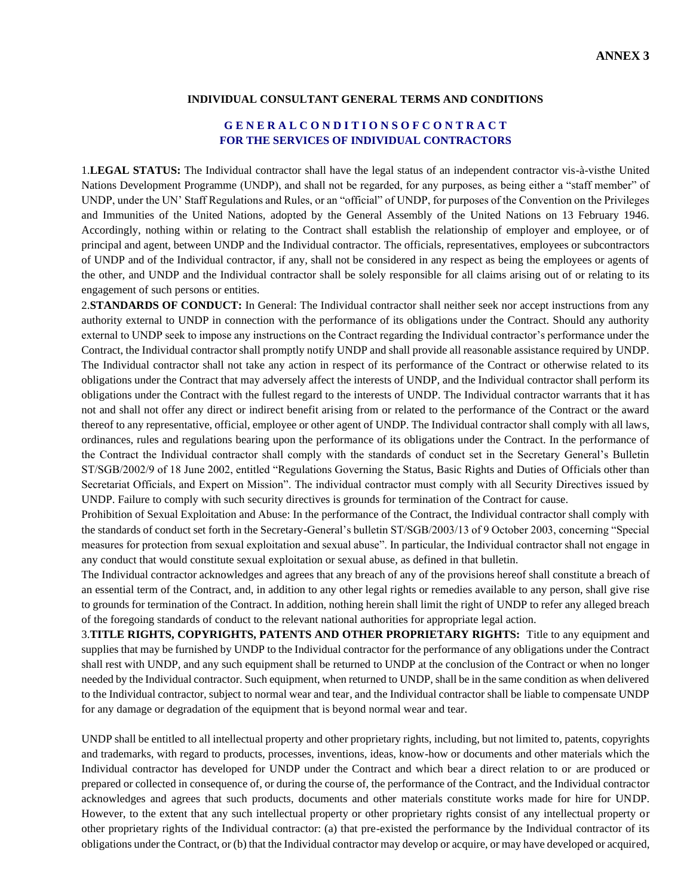#### **INDIVIDUAL CONSULTANT GENERAL TERMS AND CONDITIONS**

#### **G E N E R A L C O N D I T I O N S O F C O N T R A C T FOR THE SERVICES OF INDIVIDUAL CONTRACTORS**

1.**LEGAL STATUS:** The Individual contractor shall have the legal status of an independent contractor vis-à-visthe United Nations Development Programme (UNDP), and shall not be regarded, for any purposes, as being either a "staff member" of UNDP, under the UN' Staff Regulations and Rules, or an "official" of UNDP, for purposes of the Convention on the Privileges and Immunities of the United Nations, adopted by the General Assembly of the United Nations on 13 February 1946. Accordingly, nothing within or relating to the Contract shall establish the relationship of employer and employee, or of principal and agent, between UNDP and the Individual contractor. The officials, representatives, employees or subcontractors of UNDP and of the Individual contractor, if any, shall not be considered in any respect as being the employees or agents of the other, and UNDP and the Individual contractor shall be solely responsible for all claims arising out of or relating to its engagement of such persons or entities.

2.**STANDARDS OF CONDUCT:** In General: The Individual contractor shall neither seek nor accept instructions from any authority external to UNDP in connection with the performance of its obligations under the Contract. Should any authority external to UNDP seek to impose any instructions on the Contract regarding the Individual contractor's performance under the Contract, the Individual contractor shall promptly notify UNDP and shall provide all reasonable assistance required by UNDP. The Individual contractor shall not take any action in respect of its performance of the Contract or otherwise related to its obligations under the Contract that may adversely affect the interests of UNDP, and the Individual contractor shall perform its obligations under the Contract with the fullest regard to the interests of UNDP. The Individual contractor warrants that it has not and shall not offer any direct or indirect benefit arising from or related to the performance of the Contract or the award thereof to any representative, official, employee or other agent of UNDP. The Individual contractor shall comply with all laws, ordinances, rules and regulations bearing upon the performance of its obligations under the Contract. In the performance of the Contract the Individual contractor shall comply with the standards of conduct set in the Secretary General's Bulletin ST/SGB/2002/9 of 18 June 2002, entitled "Regulations Governing the Status, Basic Rights and Duties of Officials other than Secretariat Officials, and Expert on Mission". The individual contractor must comply with all Security Directives issued by UNDP. Failure to comply with such security directives is grounds for termination of the Contract for cause.

Prohibition of Sexual Exploitation and Abuse: In the performance of the Contract, the Individual contractor shall comply with the standards of conduct set forth in the Secretary-General's bulletin ST/SGB/2003/13 of 9 October 2003, concerning "Special measures for protection from sexual exploitation and sexual abuse". In particular, the Individual contractor shall not engage in any conduct that would constitute sexual exploitation or sexual abuse, as defined in that bulletin.

The Individual contractor acknowledges and agrees that any breach of any of the provisions hereof shall constitute a breach of an essential term of the Contract, and, in addition to any other legal rights or remedies available to any person, shall give rise to grounds for termination of the Contract. In addition, nothing herein shall limit the right of UNDP to refer any alleged breach of the foregoing standards of conduct to the relevant national authorities for appropriate legal action.

3.**TITLE RIGHTS, COPYRIGHTS, PATENTS AND OTHER PROPRIETARY RIGHTS:** Title to any equipment and supplies that may be furnished by UNDP to the Individual contractor for the performance of any obligations under the Contract shall rest with UNDP, and any such equipment shall be returned to UNDP at the conclusion of the Contract or when no longer needed by the Individual contractor. Such equipment, when returned to UNDP, shall be in the same condition as when delivered to the Individual contractor, subject to normal wear and tear, and the Individual contractor shall be liable to compensate UNDP for any damage or degradation of the equipment that is beyond normal wear and tear.

UNDP shall be entitled to all intellectual property and other proprietary rights, including, but not limited to, patents, copyrights and trademarks, with regard to products, processes, inventions, ideas, know-how or documents and other materials which the Individual contractor has developed for UNDP under the Contract and which bear a direct relation to or are produced or prepared or collected in consequence of, or during the course of, the performance of the Contract, and the Individual contractor acknowledges and agrees that such products, documents and other materials constitute works made for hire for UNDP. However, to the extent that any such intellectual property or other proprietary rights consist of any intellectual property or other proprietary rights of the Individual contractor: (a) that pre-existed the performance by the Individual contractor of its obligations under the Contract, or (b) that the Individual contractor may develop or acquire, or may have developed or acquired,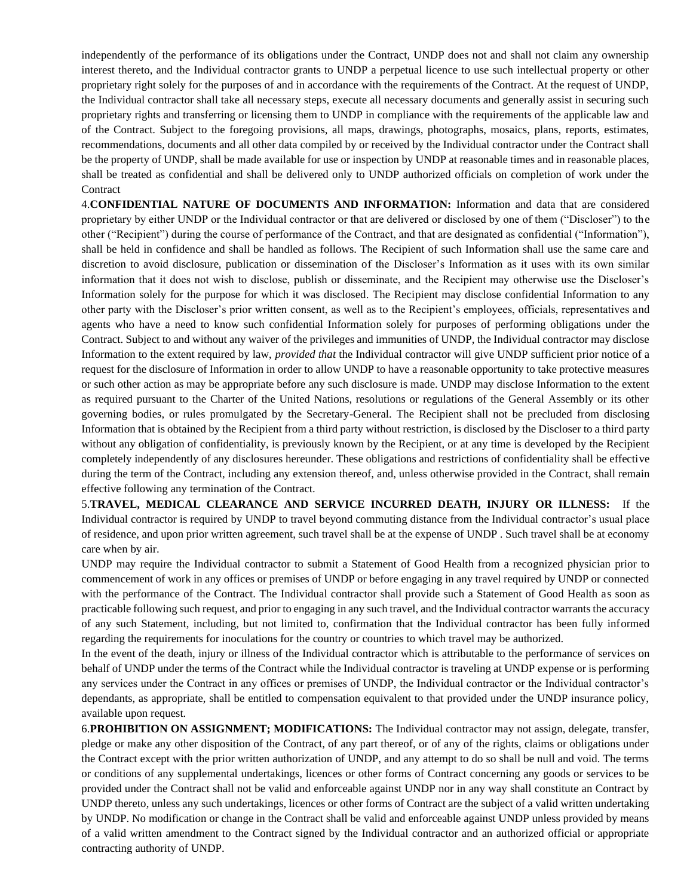independently of the performance of its obligations under the Contract, UNDP does not and shall not claim any ownership interest thereto, and the Individual contractor grants to UNDP a perpetual licence to use such intellectual property or other proprietary right solely for the purposes of and in accordance with the requirements of the Contract. At the request of UNDP, the Individual contractor shall take all necessary steps, execute all necessary documents and generally assist in securing such proprietary rights and transferring or licensing them to UNDP in compliance with the requirements of the applicable law and of the Contract. Subject to the foregoing provisions, all maps, drawings, photographs, mosaics, plans, reports, estimates, recommendations, documents and all other data compiled by or received by the Individual contractor under the Contract shall be the property of UNDP, shall be made available for use or inspection by UNDP at reasonable times and in reasonable places, shall be treated as confidential and shall be delivered only to UNDP authorized officials on completion of work under the **Contract** 

4.**CONFIDENTIAL NATURE OF DOCUMENTS AND INFORMATION:** Information and data that are considered proprietary by either UNDP or the Individual contractor or that are delivered or disclosed by one of them ("Discloser") to the other ("Recipient") during the course of performance of the Contract, and that are designated as confidential ("Information"), shall be held in confidence and shall be handled as follows. The Recipient of such Information shall use the same care and discretion to avoid disclosure, publication or dissemination of the Discloser's Information as it uses with its own similar information that it does not wish to disclose, publish or disseminate, and the Recipient may otherwise use the Discloser's Information solely for the purpose for which it was disclosed. The Recipient may disclose confidential Information to any other party with the Discloser's prior written consent, as well as to the Recipient's employees, officials, representatives and agents who have a need to know such confidential Information solely for purposes of performing obligations under the Contract. Subject to and without any waiver of the privileges and immunities of UNDP, the Individual contractor may disclose Information to the extent required by law, *provided that* the Individual contractor will give UNDP sufficient prior notice of a request for the disclosure of Information in order to allow UNDP to have a reasonable opportunity to take protective measures or such other action as may be appropriate before any such disclosure is made. UNDP may disclose Information to the extent as required pursuant to the Charter of the United Nations, resolutions or regulations of the General Assembly or its other governing bodies, or rules promulgated by the Secretary-General. The Recipient shall not be precluded from disclosing Information that is obtained by the Recipient from a third party without restriction, is disclosed by the Discloser to a third party without any obligation of confidentiality, is previously known by the Recipient, or at any time is developed by the Recipient completely independently of any disclosures hereunder. These obligations and restrictions of confidentiality shall be effective during the term of the Contract, including any extension thereof, and, unless otherwise provided in the Contract, shall remain effective following any termination of the Contract.

5.**TRAVEL, MEDICAL CLEARANCE AND SERVICE INCURRED DEATH, INJURY OR ILLNESS:** If the Individual contractor is required by UNDP to travel beyond commuting distance from the Individual contractor's usual place of residence, and upon prior written agreement, such travel shall be at the expense of UNDP . Such travel shall be at economy care when by air.

UNDP may require the Individual contractor to submit a Statement of Good Health from a recognized physician prior to commencement of work in any offices or premises of UNDP or before engaging in any travel required by UNDP or connected with the performance of the Contract. The Individual contractor shall provide such a Statement of Good Health as soon as practicable following such request, and prior to engaging in any such travel, and the Individual contractor warrants the accuracy of any such Statement, including, but not limited to, confirmation that the Individual contractor has been fully informed regarding the requirements for inoculations for the country or countries to which travel may be authorized.

In the event of the death, injury or illness of the Individual contractor which is attributable to the performance of services on behalf of UNDP under the terms of the Contract while the Individual contractor is traveling at UNDP expense or is performing any services under the Contract in any offices or premises of UNDP, the Individual contractor or the Individual contractor's dependants, as appropriate, shall be entitled to compensation equivalent to that provided under the UNDP insurance policy, available upon request.

6.**PROHIBITION ON ASSIGNMENT; MODIFICATIONS:** The Individual contractor may not assign, delegate, transfer, pledge or make any other disposition of the Contract, of any part thereof, or of any of the rights, claims or obligations under the Contract except with the prior written authorization of UNDP, and any attempt to do so shall be null and void. The terms or conditions of any supplemental undertakings, licences or other forms of Contract concerning any goods or services to be provided under the Contract shall not be valid and enforceable against UNDP nor in any way shall constitute an Contract by UNDP thereto, unless any such undertakings, licences or other forms of Contract are the subject of a valid written undertaking by UNDP. No modification or change in the Contract shall be valid and enforceable against UNDP unless provided by means of a valid written amendment to the Contract signed by the Individual contractor and an authorized official or appropriate contracting authority of UNDP.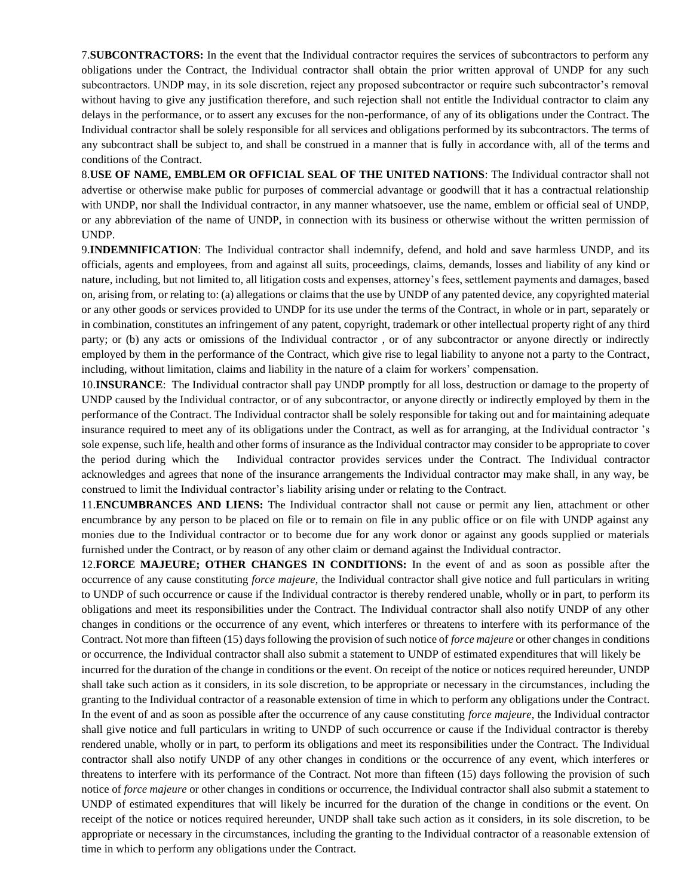7.**SUBCONTRACTORS:** In the event that the Individual contractor requires the services of subcontractors to perform any obligations under the Contract, the Individual contractor shall obtain the prior written approval of UNDP for any such subcontractors. UNDP may, in its sole discretion, reject any proposed subcontractor or require such subcontractor's removal without having to give any justification therefore, and such rejection shall not entitle the Individual contractor to claim any delays in the performance, or to assert any excuses for the non-performance, of any of its obligations under the Contract. The Individual contractor shall be solely responsible for all services and obligations performed by its subcontractors. The terms of any subcontract shall be subject to, and shall be construed in a manner that is fully in accordance with, all of the terms and conditions of the Contract.

8.**USE OF NAME, EMBLEM OR OFFICIAL SEAL OF THE UNITED NATIONS**: The Individual contractor shall not advertise or otherwise make public for purposes of commercial advantage or goodwill that it has a contractual relationship with UNDP, nor shall the Individual contractor, in any manner whatsoever, use the name, emblem or official seal of UNDP, or any abbreviation of the name of UNDP, in connection with its business or otherwise without the written permission of UNDP.

9.**INDEMNIFICATION**: The Individual contractor shall indemnify, defend, and hold and save harmless UNDP, and its officials, agents and employees, from and against all suits, proceedings, claims, demands, losses and liability of any kind or nature, including, but not limited to, all litigation costs and expenses, attorney's fees, settlement payments and damages, based on, arising from, or relating to: (a) allegations or claims that the use by UNDP of any patented device, any copyrighted material or any other goods or services provided to UNDP for its use under the terms of the Contract, in whole or in part, separately or in combination, constitutes an infringement of any patent, copyright, trademark or other intellectual property right of any third party; or (b) any acts or omissions of the Individual contractor , or of any subcontractor or anyone directly or indirectly employed by them in the performance of the Contract, which give rise to legal liability to anyone not a party to the Contract, including, without limitation, claims and liability in the nature of a claim for workers' compensation.

10.**INSURANCE**: The Individual contractor shall pay UNDP promptly for all loss, destruction or damage to the property of UNDP caused by the Individual contractor, or of any subcontractor, or anyone directly or indirectly employed by them in the performance of the Contract. The Individual contractor shall be solely responsible for taking out and for maintaining adequate insurance required to meet any of its obligations under the Contract, as well as for arranging, at the Individual contractor 's sole expense, such life, health and other forms of insurance as the Individual contractor may consider to be appropriate to cover the period during which the Individual contractor provides services under the Contract. The Individual contractor acknowledges and agrees that none of the insurance arrangements the Individual contractor may make shall, in any way, be construed to limit the Individual contractor's liability arising under or relating to the Contract.

11.**ENCUMBRANCES AND LIENS:** The Individual contractor shall not cause or permit any lien, attachment or other encumbrance by any person to be placed on file or to remain on file in any public office or on file with UNDP against any monies due to the Individual contractor or to become due for any work donor or against any goods supplied or materials furnished under the Contract, or by reason of any other claim or demand against the Individual contractor.

12.**FORCE MAJEURE; OTHER CHANGES IN CONDITIONS:** In the event of and as soon as possible after the occurrence of any cause constituting *force majeure*, the Individual contractor shall give notice and full particulars in writing to UNDP of such occurrence or cause if the Individual contractor is thereby rendered unable, wholly or in part, to perform its obligations and meet its responsibilities under the Contract. The Individual contractor shall also notify UNDP of any other changes in conditions or the occurrence of any event, which interferes or threatens to interfere with its performance of the Contract. Not more than fifteen (15) days following the provision of such notice of *force majeure* or other changes in conditions or occurrence, the Individual contractor shall also submit a statement to UNDP of estimated expenditures that will likely be

incurred for the duration of the change in conditions or the event. On receipt of the notice or notices required hereunder, UNDP shall take such action as it considers, in its sole discretion, to be appropriate or necessary in the circumstances, including the granting to the Individual contractor of a reasonable extension of time in which to perform any obligations under the Contract. In the event of and as soon as possible after the occurrence of any cause constituting *force majeure*, the Individual contractor shall give notice and full particulars in writing to UNDP of such occurrence or cause if the Individual contractor is thereby rendered unable, wholly or in part, to perform its obligations and meet its responsibilities under the Contract. The Individual contractor shall also notify UNDP of any other changes in conditions or the occurrence of any event, which interferes or threatens to interfere with its performance of the Contract. Not more than fifteen (15) days following the provision of such notice of *force majeure* or other changes in conditions or occurrence, the Individual contractor shall also submit a statement to UNDP of estimated expenditures that will likely be incurred for the duration of the change in conditions or the event. On receipt of the notice or notices required hereunder, UNDP shall take such action as it considers, in its sole discretion, to be appropriate or necessary in the circumstances, including the granting to the Individual contractor of a reasonable extension of time in which to perform any obligations under the Contract.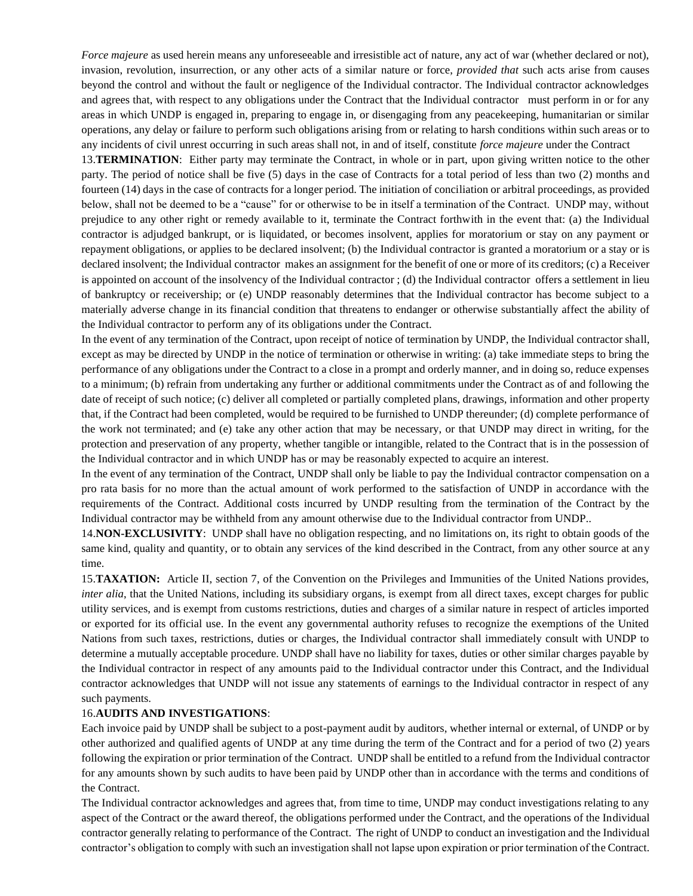*Force majeure* as used herein means any unforeseeable and irresistible act of nature, any act of war (whether declared or not), invasion, revolution, insurrection, or any other acts of a similar nature or force, *provided that* such acts arise from causes beyond the control and without the fault or negligence of the Individual contractor. The Individual contractor acknowledges and agrees that, with respect to any obligations under the Contract that the Individual contractor must perform in or for any areas in which UNDP is engaged in, preparing to engage in, or disengaging from any peacekeeping, humanitarian or similar operations, any delay or failure to perform such obligations arising from or relating to harsh conditions within such areas or to any incidents of civil unrest occurring in such areas shall not, in and of itself, constitute *force majeure* under the Contract

13.**TERMINATION**: Either party may terminate the Contract, in whole or in part, upon giving written notice to the other party. The period of notice shall be five (5) days in the case of Contracts for a total period of less than two (2) months and fourteen (14) days in the case of contracts for a longer period. The initiation of conciliation or arbitral proceedings, as provided below, shall not be deemed to be a "cause" for or otherwise to be in itself a termination of the Contract. UNDP may, without prejudice to any other right or remedy available to it, terminate the Contract forthwith in the event that: (a) the Individual contractor is adjudged bankrupt, or is liquidated, or becomes insolvent, applies for moratorium or stay on any payment or repayment obligations, or applies to be declared insolvent; (b) the Individual contractor is granted a moratorium or a stay or is declared insolvent; the Individual contractor makes an assignment for the benefit of one or more of its creditors; (c) a Receiver is appointed on account of the insolvency of the Individual contractor ; (d) the Individual contractor offers a settlement in lieu of bankruptcy or receivership; or (e) UNDP reasonably determines that the Individual contractor has become subject to a materially adverse change in its financial condition that threatens to endanger or otherwise substantially affect the ability of the Individual contractor to perform any of its obligations under the Contract.

In the event of any termination of the Contract, upon receipt of notice of termination by UNDP, the Individual contractor shall, except as may be directed by UNDP in the notice of termination or otherwise in writing: (a) take immediate steps to bring the performance of any obligations under the Contract to a close in a prompt and orderly manner, and in doing so, reduce expenses to a minimum; (b) refrain from undertaking any further or additional commitments under the Contract as of and following the date of receipt of such notice; (c) deliver all completed or partially completed plans, drawings, information and other property that, if the Contract had been completed, would be required to be furnished to UNDP thereunder; (d) complete performance of the work not terminated; and (e) take any other action that may be necessary, or that UNDP may direct in writing, for the protection and preservation of any property, whether tangible or intangible, related to the Contract that is in the possession of the Individual contractor and in which UNDP has or may be reasonably expected to acquire an interest.

In the event of any termination of the Contract, UNDP shall only be liable to pay the Individual contractor compensation on a pro rata basis for no more than the actual amount of work performed to the satisfaction of UNDP in accordance with the requirements of the Contract. Additional costs incurred by UNDP resulting from the termination of the Contract by the Individual contractor may be withheld from any amount otherwise due to the Individual contractor from UNDP..

14.**NON-EXCLUSIVITY**: UNDP shall have no obligation respecting, and no limitations on, its right to obtain goods of the same kind, quality and quantity, or to obtain any services of the kind described in the Contract, from any other source at any time.

15.**TAXATION:** Article II, section 7, of the Convention on the Privileges and Immunities of the United Nations provides, *inter alia*, that the United Nations, including its subsidiary organs, is exempt from all direct taxes, except charges for public utility services, and is exempt from customs restrictions, duties and charges of a similar nature in respect of articles imported or exported for its official use. In the event any governmental authority refuses to recognize the exemptions of the United Nations from such taxes, restrictions, duties or charges, the Individual contractor shall immediately consult with UNDP to determine a mutually acceptable procedure. UNDP shall have no liability for taxes, duties or other similar charges payable by the Individual contractor in respect of any amounts paid to the Individual contractor under this Contract, and the Individual contractor acknowledges that UNDP will not issue any statements of earnings to the Individual contractor in respect of any such payments.

#### 16.**AUDITS AND INVESTIGATIONS**:

Each invoice paid by UNDP shall be subject to a post-payment audit by auditors, whether internal or external, of UNDP or by other authorized and qualified agents of UNDP at any time during the term of the Contract and for a period of two (2) years following the expiration or prior termination of the Contract. UNDP shall be entitled to a refund from the Individual contractor for any amounts shown by such audits to have been paid by UNDP other than in accordance with the terms and conditions of the Contract.

The Individual contractor acknowledges and agrees that, from time to time, UNDP may conduct investigations relating to any aspect of the Contract or the award thereof, the obligations performed under the Contract, and the operations of the Individual contractor generally relating to performance of the Contract. The right of UNDP to conduct an investigation and the Individual contractor's obligation to comply with such an investigation shall not lapse upon expiration or prior termination of the Contract.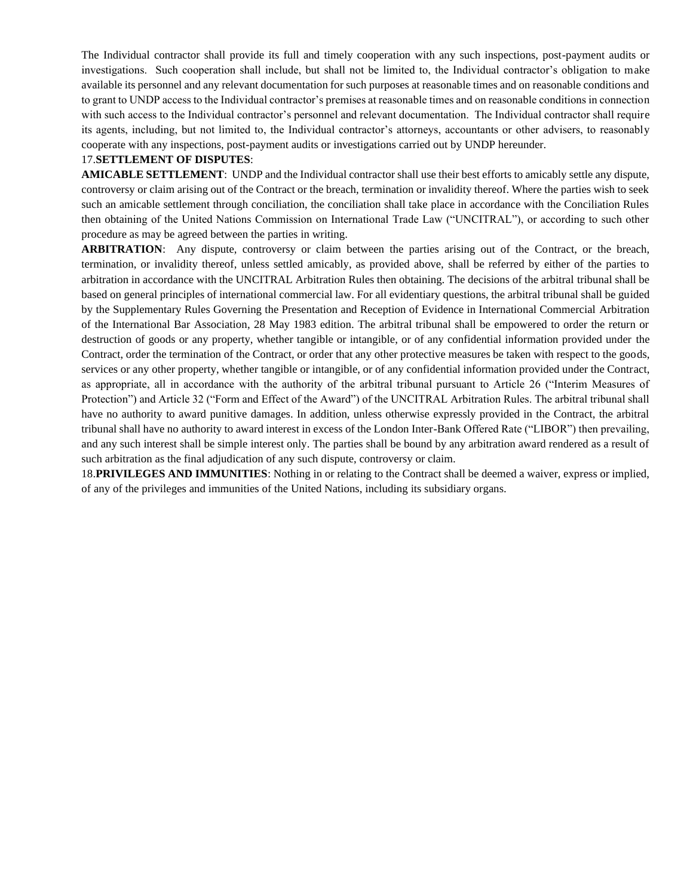The Individual contractor shall provide its full and timely cooperation with any such inspections, post-payment audits or investigations. Such cooperation shall include, but shall not be limited to, the Individual contractor's obligation to make available its personnel and any relevant documentation for such purposes at reasonable times and on reasonable conditions and to grant to UNDP access to the Individual contractor's premises at reasonable times and on reasonable conditions in connection with such access to the Individual contractor's personnel and relevant documentation. The Individual contractor shall require its agents, including, but not limited to, the Individual contractor's attorneys, accountants or other advisers, to reasonably cooperate with any inspections, post-payment audits or investigations carried out by UNDP hereunder.

#### 17.**SETTLEMENT OF DISPUTES**:

**AMICABLE SETTLEMENT**: UNDP and the Individual contractor shall use their best efforts to amicably settle any dispute, controversy or claim arising out of the Contract or the breach, termination or invalidity thereof. Where the parties wish to seek such an amicable settlement through conciliation, the conciliation shall take place in accordance with the Conciliation Rules then obtaining of the United Nations Commission on International Trade Law ("UNCITRAL"), or according to such other procedure as may be agreed between the parties in writing.

**ARBITRATION**: Any dispute, controversy or claim between the parties arising out of the Contract, or the breach, termination, or invalidity thereof, unless settled amicably, as provided above, shall be referred by either of the parties to arbitration in accordance with the UNCITRAL Arbitration Rules then obtaining. The decisions of the arbitral tribunal shall be based on general principles of international commercial law. For all evidentiary questions, the arbitral tribunal shall be guided by the Supplementary Rules Governing the Presentation and Reception of Evidence in International Commercial Arbitration of the International Bar Association, 28 May 1983 edition. The arbitral tribunal shall be empowered to order the return or destruction of goods or any property, whether tangible or intangible, or of any confidential information provided under the Contract, order the termination of the Contract, or order that any other protective measures be taken with respect to the goods, services or any other property, whether tangible or intangible, or of any confidential information provided under the Contract, as appropriate, all in accordance with the authority of the arbitral tribunal pursuant to Article 26 ("Interim Measures of Protection") and Article 32 ("Form and Effect of the Award") of the UNCITRAL Arbitration Rules. The arbitral tribunal shall have no authority to award punitive damages. In addition, unless otherwise expressly provided in the Contract, the arbitral tribunal shall have no authority to award interest in excess of the London Inter-Bank Offered Rate ("LIBOR") then prevailing, and any such interest shall be simple interest only. The parties shall be bound by any arbitration award rendered as a result of such arbitration as the final adjudication of any such dispute, controversy or claim.

18.**PRIVILEGES AND IMMUNITIES**: Nothing in or relating to the Contract shall be deemed a waiver, express or implied, of any of the privileges and immunities of the United Nations, including its subsidiary organs.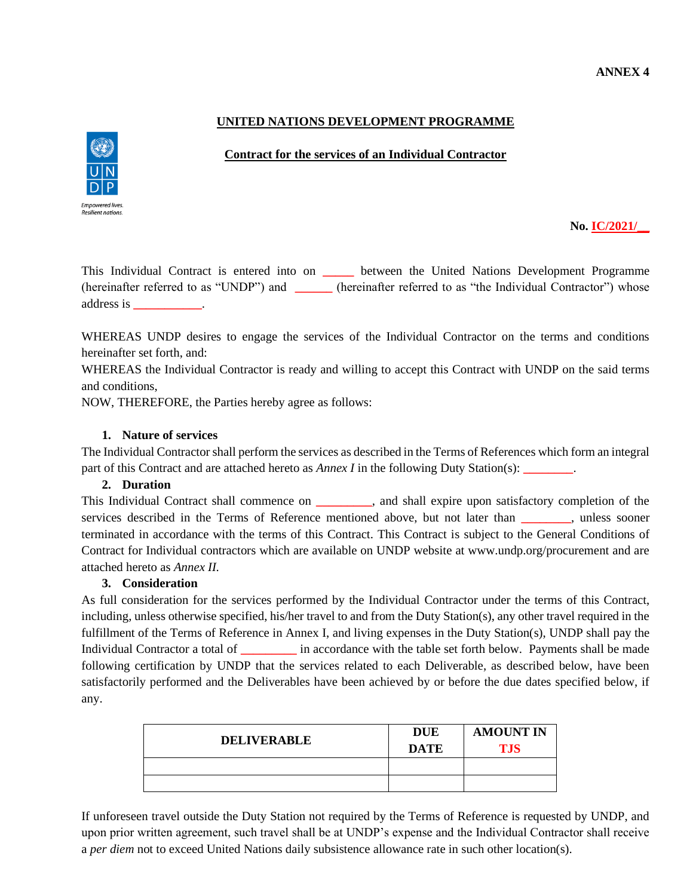## **ANNEX 4**

## **UNITED NATIONS DEVELOPMENT PROGRAMME**

#### **Contract for the services of an Individual Contractor**



### **No. IC/2021/\_\_**

This Individual Contract is entered into on **\_\_\_\_\_** between the United Nations Development Programme (hereinafter referred to as "UNDP") and **\_\_\_\_\_\_** (hereinafter referred to as "the Individual Contractor") whose address is **\_\_\_\_\_\_\_\_\_\_\_**.

WHEREAS UNDP desires to engage the services of the Individual Contractor on the terms and conditions hereinafter set forth, and:

WHEREAS the Individual Contractor is ready and willing to accept this Contract with UNDP on the said terms and conditions,

NOW, THEREFORE, the Parties hereby agree as follows:

#### **1. Nature of services**

The Individual Contractor shall perform the services as described in the Terms of References which form an integral part of this Contract and are attached hereto as *Annex I* in the following Duty Station(s): **\_\_\_\_\_\_\_\_**.

#### **2. Duration**

This Individual Contract shall commence on **\_\_\_\_\_\_\_\_\_**, and shall expire upon satisfactory completion of the services described in the Terms of Reference mentioned above, but not later than **.** unless sooner terminated in accordance with the terms of this Contract. This Contract is subject to the General Conditions of Contract for Individual contractors which are available on UNDP website at www.undp.org/procurement and are attached hereto as *Annex II.*

#### **3. Consideration**

As full consideration for the services performed by the Individual Contractor under the terms of this Contract, including, unless otherwise specified, his/her travel to and from the Duty Station(s), any other travel required in the fulfillment of the Terms of Reference in Annex I, and living expenses in the Duty Station(s), UNDP shall pay the Individual Contractor a total of **\_\_\_\_\_\_\_\_\_** in accordance with the table set forth below. Payments shall be made following certification by UNDP that the services related to each Deliverable, as described below, have been satisfactorily performed and the Deliverables have been achieved by or before the due dates specified below, if any.

| <b>DELIVERABLE</b> | <b>DUE</b><br><b>DATE</b> | <b>AMOUNT IN</b><br><b>TJS</b> |
|--------------------|---------------------------|--------------------------------|
|                    |                           |                                |
|                    |                           |                                |

If unforeseen travel outside the Duty Station not required by the Terms of Reference is requested by UNDP, and upon prior written agreement, such travel shall be at UNDP's expense and the Individual Contractor shall receive a *per diem* not to exceed United Nations daily subsistence allowance rate in such other location(s).